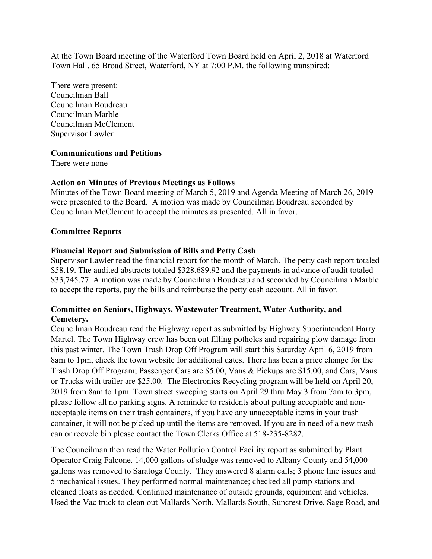At the Town Board meeting of the Waterford Town Board held on April 2, 2018 at Waterford Town Hall, 65 Broad Street, Waterford, NY at 7:00 P.M. the following transpired:

There were present: Councilman Ball Councilman Boudreau Councilman Marble Councilman McClement Supervisor Lawler

### **Communications and Petitions**

There were none

## **Action on Minutes of Previous Meetings as Follows**

Minutes of the Town Board meeting of March 5, 2019 and Agenda Meeting of March 26, 2019 were presented to the Board. A motion was made by Councilman Boudreau seconded by Councilman McClement to accept the minutes as presented. All in favor.

### **Committee Reports**

## **Financial Report and Submission of Bills and Petty Cash**

Supervisor Lawler read the financial report for the month of March. The petty cash report totaled \$58.19. The audited abstracts totaled \$328,689.92 and the payments in advance of audit totaled \$33,745.77. A motion was made by Councilman Boudreau and seconded by Councilman Marble to accept the reports, pay the bills and reimburse the petty cash account. All in favor.

# **Committee on Seniors, Highways, Wastewater Treatment, Water Authority, and Cemetery.**

Councilman Boudreau read the Highway report as submitted by Highway Superintendent Harry Martel. The Town Highway crew has been out filling potholes and repairing plow damage from this past winter. The Town Trash Drop Off Program will start this Saturday April 6, 2019 from 8am to 1pm, check the town website for additional dates. There has been a price change for the Trash Drop Off Program; Passenger Cars are \$5.00, Vans & Pickups are \$15.00, and Cars, Vans or Trucks with trailer are \$25.00. The Electronics Recycling program will be held on April 20, 2019 from 8am to 1pm. Town street sweeping starts on April 29 thru May 3 from 7am to 3pm, please follow all no parking signs. A reminder to residents about putting acceptable and nonacceptable items on their trash containers, if you have any unacceptable items in your trash container, it will not be picked up until the items are removed. If you are in need of a new trash can or recycle bin please contact the Town Clerks Office at 518-235-8282.

The Councilman then read the Water Pollution Control Facility report as submitted by Plant Operator Craig Falcone. 14,000 gallons of sludge was removed to Albany County and 54,000 gallons was removed to Saratoga County. They answered 8 alarm calls; 3 phone line issues and 5 mechanical issues. They performed normal maintenance; checked all pump stations and cleaned floats as needed. Continued maintenance of outside grounds, equipment and vehicles. Used the Vac truck to clean out Mallards North, Mallards South, Suncrest Drive, Sage Road, and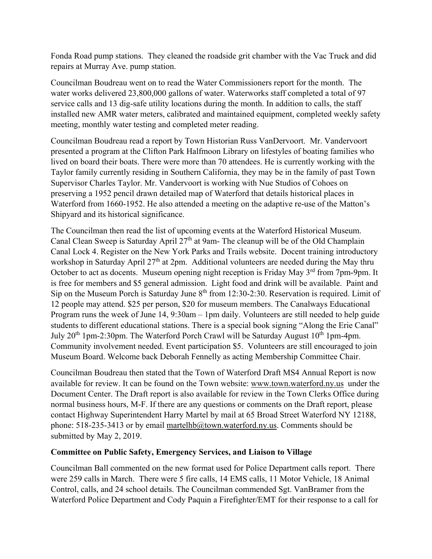Fonda Road pump stations. They cleaned the roadside grit chamber with the Vac Truck and did repairs at Murray Ave. pump station.

Councilman Boudreau went on to read the Water Commissioners report for the month. The water works delivered 23,800,000 gallons of water. Waterworks staff completed a total of 97 service calls and 13 dig-safe utility locations during the month. In addition to calls, the staff installed new AMR water meters, calibrated and maintained equipment, completed weekly safety meeting, monthly water testing and completed meter reading.

Councilman Boudreau read a report by Town Historian Russ VanDervoort. Mr. Vandervoort presented a program at the Clifton Park Halfmoon Library on lifestyles of boating families who lived on board their boats. There were more than 70 attendees. He is currently working with the Taylor family currently residing in Southern California, they may be in the family of past Town Supervisor Charles Taylor. Mr. Vandervoort is working with Nue Studios of Cohoes on preserving a 1952 pencil drawn detailed map of Waterford that details historical places in Waterford from 1660-1952. He also attended a meeting on the adaptive re-use of the Matton's Shipyard and its historical significance.

The Councilman then read the list of upcoming events at the Waterford Historical Museum. Canal Clean Sweep is Saturday April  $27<sup>th</sup>$  at 9am- The cleanup will be of the Old Champlain Canal Lock 4. Register on the New York Parks and Trails website. Docent training introductory workshop in Saturday April  $27<sup>th</sup>$  at 2pm. Additional volunteers are needed during the May thru October to act as docents. Museum opening night reception is Friday May 3<sup>rd</sup> from 7pm-9pm. It is free for members and \$5 general admission. Light food and drink will be available. Paint and Sip on the Museum Porch is Saturday June  $8<sup>th</sup>$  from 12:30-2:30. Reservation is required. Limit of 12 people may attend. \$25 per person, \$20 for museum members. The Canalways Educational Program runs the week of June 14, 9:30am – 1pm daily. Volunteers are still needed to help guide students to different educational stations. There is a special book signing "Along the Erie Canal" July  $20^{th}$  1pm-2:30pm. The Waterford Porch Crawl will be Saturday August  $10^{th}$  1pm-4pm. Community involvement needed. Event participation \$5. Volunteers are still encouraged to join Museum Board. Welcome back Deborah Fennelly as acting Membership Committee Chair.

Councilman Boudreau then stated that the Town of Waterford Draft MS4 Annual Report is now available for review. It can be found on the Town website: www.town.waterford.ny.us under the Document Center. The Draft report is also available for review in the Town Clerks Office during normal business hours, M-F. If there are any questions or comments on the Draft report, please contact Highway Superintendent Harry Martel by mail at 65 Broad Street Waterford NY 12188, phone: 518-235-3413 or by email martelhb@town.waterford.ny.us. Comments should be submitted by May 2, 2019.

# **Committee on Public Safety, Emergency Services, and Liaison to Village**

Councilman Ball commented on the new format used for Police Department calls report. There were 259 calls in March. There were 5 fire calls, 14 EMS calls, 11 Motor Vehicle, 18 Animal Control, calls, and 24 school details. The Councilman commended Sgt. VanBramer from the Waterford Police Department and Cody Paquin a Firefighter/EMT for their response to a call for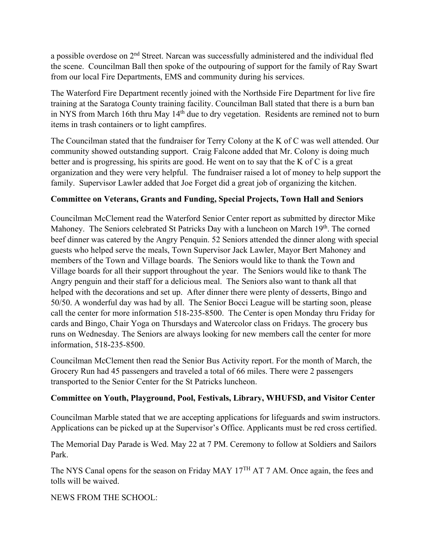a possible overdose on 2<sup>nd</sup> Street. Narcan was successfully administered and the individual fled the scene. Councilman Ball then spoke of the outpouring of support for the family of Ray Swart from our local Fire Departments, EMS and community during his services.

The Waterford Fire Department recently joined with the Northside Fire Department for live fire training at the Saratoga County training facility. Councilman Ball stated that there is a burn ban in NYS from March 16th thru May 14<sup>th</sup> due to dry vegetation. Residents are remined not to burn items in trash containers or to light campfires.

The Councilman stated that the fundraiser for Terry Colony at the K of C was well attended. Our community showed outstanding support. Craig Falcone added that Mr. Colony is doing much better and is progressing, his spirits are good. He went on to say that the K of C is a great organization and they were very helpful. The fundraiser raised a lot of money to help support the family. Supervisor Lawler added that Joe Forget did a great job of organizing the kitchen.

# **Committee on Veterans, Grants and Funding, Special Projects, Town Hall and Seniors**

Councilman McClement read the Waterford Senior Center report as submitted by director Mike Mahoney. The Seniors celebrated St Patricks Day with a luncheon on March 19<sup>th</sup>. The corned beef dinner was catered by the Angry Penquin. 52 Seniors attended the dinner along with special guests who helped serve the meals, Town Supervisor Jack Lawler, Mayor Bert Mahoney and members of the Town and Village boards. The Seniors would like to thank the Town and Village boards for all their support throughout the year. The Seniors would like to thank The Angry penguin and their staff for a delicious meal. The Seniors also want to thank all that helped with the decorations and set up. After dinner there were plenty of desserts, Bingo and 50/50. A wonderful day was had by all. The Senior Bocci League will be starting soon, please call the center for more information 518-235-8500. The Center is open Monday thru Friday for cards and Bingo, Chair Yoga on Thursdays and Watercolor class on Fridays. The grocery bus runs on Wednesday. The Seniors are always looking for new members call the center for more information, 518-235-8500.

Councilman McClement then read the Senior Bus Activity report. For the month of March, the Grocery Run had 45 passengers and traveled a total of 66 miles. There were 2 passengers transported to the Senior Center for the St Patricks luncheon.

# **Committee on Youth, Playground, Pool, Festivals, Library, WHUFSD, and Visitor Center**

Councilman Marble stated that we are accepting applications for lifeguards and swim instructors. Applications can be picked up at the Supervisor's Office. Applicants must be red cross certified.

The Memorial Day Parade is Wed. May 22 at 7 PM. Ceremony to follow at Soldiers and Sailors Park.

The NYS Canal opens for the season on Friday MAY 17<sup>TH</sup> AT 7 AM. Once again, the fees and tolls will be waived.

NEWS FROM THE SCHOOL: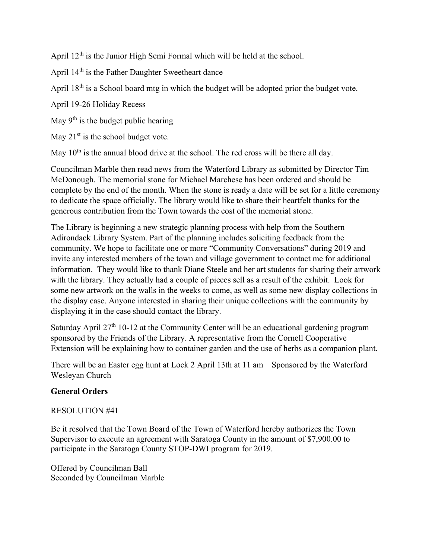April 12<sup>th</sup> is the Junior High Semi Formal which will be held at the school.

April 14th is the Father Daughter Sweetheart dance

April 18<sup>th</sup> is a School board mtg in which the budget will be adopted prior the budget vote.

April 19-26 Holiday Recess

May  $9<sup>th</sup>$  is the budget public hearing

May  $21<sup>st</sup>$  is the school budget vote.

May  $10<sup>th</sup>$  is the annual blood drive at the school. The red cross will be there all day.

Councilman Marble then read news from the Waterford Library as submitted by Director Tim McDonough. The memorial stone for Michael Marchese has been ordered and should be complete by the end of the month. When the stone is ready a date will be set for a little ceremony to dedicate the space officially. The library would like to share their heartfelt thanks for the generous contribution from the Town towards the cost of the memorial stone.

The Library is beginning a new strategic planning process with help from the Southern Adirondack Library System. Part of the planning includes soliciting feedback from the community. We hope to facilitate one or more "Community Conversations" during 2019 and invite any interested members of the town and village government to contact me for additional information. They would like to thank Diane Steele and her art students for sharing their artwork with the library. They actually had a couple of pieces sell as a result of the exhibit. Look for some new artwork on the walls in the weeks to come, as well as some new display collections in the display case. Anyone interested in sharing their unique collections with the community by displaying it in the case should contact the library.

Saturday April  $27<sup>th</sup>$  10-12 at the Community Center will be an educational gardening program sponsored by the Friends of the Library. A representative from the Cornell Cooperative Extension will be explaining how to container garden and the use of herbs as a companion plant.

There will be an Easter egg hunt at Lock 2 April 13th at 11 am Sponsored by the Waterford Wesleyan Church

# **General Orders**

# RESOLUTION #41

Be it resolved that the Town Board of the Town of Waterford hereby authorizes the Town Supervisor to execute an agreement with Saratoga County in the amount of \$7,900.00 to participate in the Saratoga County STOP-DWI program for 2019.

Offered by Councilman Ball Seconded by Councilman Marble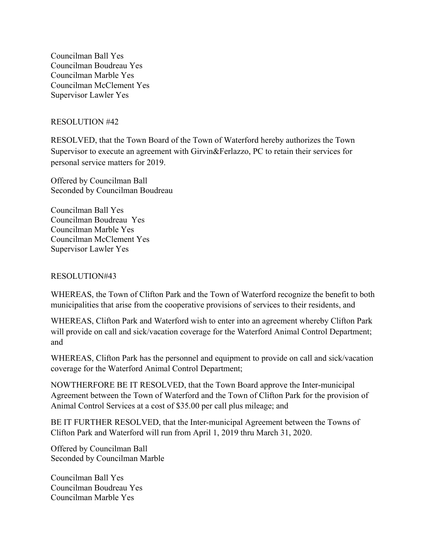Councilman Ball Yes Councilman Boudreau Yes Councilman Marble Yes Councilman McClement Yes Supervisor Lawler Yes

## RESOLUTION #42

RESOLVED, that the Town Board of the Town of Waterford hereby authorizes the Town Supervisor to execute an agreement with Girvin&Ferlazzo, PC to retain their services for personal service matters for 2019.

Offered by Councilman Ball Seconded by Councilman Boudreau

Councilman Ball Yes Councilman Boudreau Yes Councilman Marble Yes Councilman McClement Yes Supervisor Lawler Yes

### RESOLUTION#43

WHEREAS, the Town of Clifton Park and the Town of Waterford recognize the benefit to both municipalities that arise from the cooperative provisions of services to their residents, and

WHEREAS, Clifton Park and Waterford wish to enter into an agreement whereby Clifton Park will provide on call and sick/vacation coverage for the Waterford Animal Control Department; and

WHEREAS, Clifton Park has the personnel and equipment to provide on call and sick/vacation coverage for the Waterford Animal Control Department;

NOWTHERFORE BE IT RESOLVED, that the Town Board approve the Inter-municipal Agreement between the Town of Waterford and the Town of Clifton Park for the provision of Animal Control Services at a cost of \$35.00 per call plus mileage; and

BE IT FURTHER RESOLVED, that the Inter-municipal Agreement between the Towns of Clifton Park and Waterford will run from April 1, 2019 thru March 31, 2020.

Offered by Councilman Ball Seconded by Councilman Marble

Councilman Ball Yes Councilman Boudreau Yes Councilman Marble Yes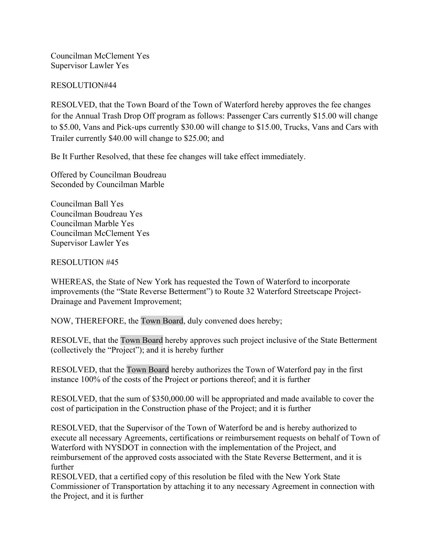Councilman McClement Yes Supervisor Lawler Yes

### RESOLUTION#44

RESOLVED, that the Town Board of the Town of Waterford hereby approves the fee changes for the Annual Trash Drop Off program as follows: Passenger Cars currently \$15.00 will change to \$5.00, Vans and Pick-ups currently \$30.00 will change to \$15.00, Trucks, Vans and Cars with Trailer currently \$40.00 will change to \$25.00; and

Be It Further Resolved, that these fee changes will take effect immediately.

Offered by Councilman Boudreau Seconded by Councilman Marble

Councilman Ball Yes Councilman Boudreau Yes Councilman Marble Yes Councilman McClement Yes Supervisor Lawler Yes

### RESOLUTION #45

WHEREAS, the State of New York has requested the Town of Waterford to incorporate improvements (the "State Reverse Betterment") to Route 32 Waterford Streetscape Project-Drainage and Pavement Improvement;

NOW, THEREFORE, the Town Board, duly convened does hereby;

RESOLVE, that the Town Board hereby approves such project inclusive of the State Betterment (collectively the "Project"); and it is hereby further

RESOLVED, that the Town Board hereby authorizes the Town of Waterford pay in the first instance 100% of the costs of the Project or portions thereof; and it is further

RESOLVED, that the sum of \$350,000.00 will be appropriated and made available to cover the cost of participation in the Construction phase of the Project; and it is further

RESOLVED, that the Supervisor of the Town of Waterford be and is hereby authorized to execute all necessary Agreements, certifications or reimbursement requests on behalf of Town of Waterford with NYSDOT in connection with the implementation of the Project, and reimbursement of the approved costs associated with the State Reverse Betterment, and it is further

RESOLVED, that a certified copy of this resolution be filed with the New York State Commissioner of Transportation by attaching it to any necessary Agreement in connection with the Project, and it is further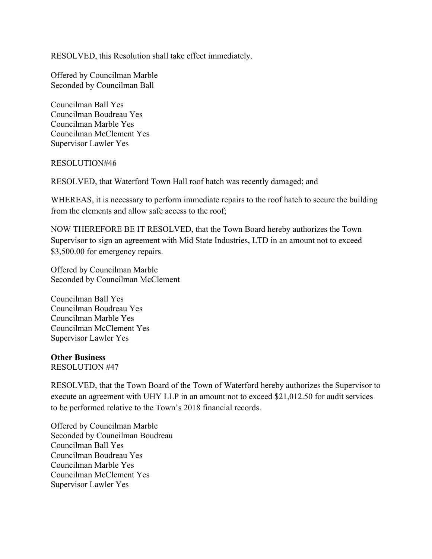RESOLVED, this Resolution shall take effect immediately.

Offered by Councilman Marble Seconded by Councilman Ball

Councilman Ball Yes Councilman Boudreau Yes Councilman Marble Yes Councilman McClement Yes Supervisor Lawler Yes

### RESOLUTION#46

RESOLVED, that Waterford Town Hall roof hatch was recently damaged; and

WHEREAS, it is necessary to perform immediate repairs to the roof hatch to secure the building from the elements and allow safe access to the roof;

NOW THEREFORE BE IT RESOLVED, that the Town Board hereby authorizes the Town Supervisor to sign an agreement with Mid State Industries, LTD in an amount not to exceed \$3,500.00 for emergency repairs.

Offered by Councilman Marble Seconded by Councilman McClement

Councilman Ball Yes Councilman Boudreau Yes Councilman Marble Yes Councilman McClement Yes Supervisor Lawler Yes

### **Other Business**

RESOLUTION #47

RESOLVED, that the Town Board of the Town of Waterford hereby authorizes the Supervisor to execute an agreement with UHY LLP in an amount not to exceed \$21,012.50 for audit services to be performed relative to the Town's 2018 financial records.

Offered by Councilman Marble Seconded by Councilman Boudreau Councilman Ball Yes Councilman Boudreau Yes Councilman Marble Yes Councilman McClement Yes Supervisor Lawler Yes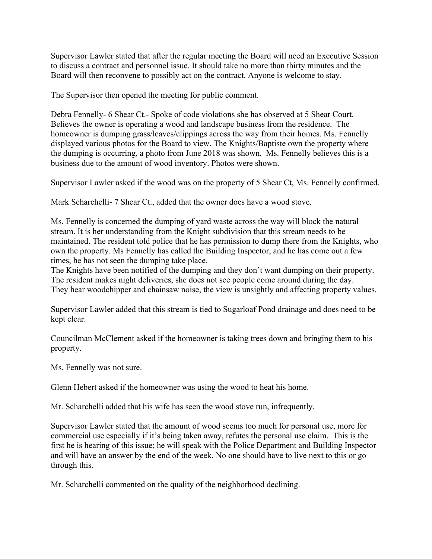Supervisor Lawler stated that after the regular meeting the Board will need an Executive Session to discuss a contract and personnel issue. It should take no more than thirty minutes and the Board will then reconvene to possibly act on the contract. Anyone is welcome to stay.

The Supervisor then opened the meeting for public comment.

Debra Fennelly- 6 Shear Ct.- Spoke of code violations she has observed at 5 Shear Court. Believes the owner is operating a wood and landscape business from the residence. The homeowner is dumping grass/leaves/clippings across the way from their homes. Ms. Fennelly displayed various photos for the Board to view. The Knights/Baptiste own the property where the dumping is occurring, a photo from June 2018 was shown. Ms. Fennelly believes this is a business due to the amount of wood inventory. Photos were shown.

Supervisor Lawler asked if the wood was on the property of 5 Shear Ct, Ms. Fennelly confirmed.

Mark Scharchelli- 7 Shear Ct., added that the owner does have a wood stove.

Ms. Fennelly is concerned the dumping of yard waste across the way will block the natural stream. It is her understanding from the Knight subdivision that this stream needs to be maintained. The resident told police that he has permission to dump there from the Knights, who own the property. Ms Fennelly has called the Building Inspector, and he has come out a few times, he has not seen the dumping take place.

The Knights have been notified of the dumping and they don't want dumping on their property. The resident makes night deliveries, she does not see people come around during the day. They hear woodchipper and chainsaw noise, the view is unsightly and affecting property values.

Supervisor Lawler added that this stream is tied to Sugarloaf Pond drainage and does need to be kept clear.

Councilman McClement asked if the homeowner is taking trees down and bringing them to his property.

Ms. Fennelly was not sure.

Glenn Hebert asked if the homeowner was using the wood to heat his home.

Mr. Scharchelli added that his wife has seen the wood stove run, infrequently.

Supervisor Lawler stated that the amount of wood seems too much for personal use, more for commercial use especially if it's being taken away, refutes the personal use claim. This is the first he is hearing of this issue; he will speak with the Police Department and Building Inspector and will have an answer by the end of the week. No one should have to live next to this or go through this.

Mr. Scharchelli commented on the quality of the neighborhood declining.